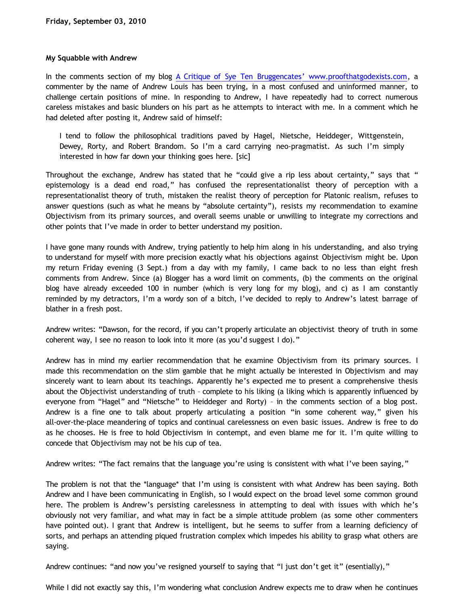## **My Squabble with Andrew**

In the comments section of my blog [A Critique of Sye Ten Bruggencates' www.proofthatgodexists.com](http://bahnsenburner.blogspot.com/2010/08/critique-of-sye-ten-bruggencates.html), a commenter by the name of Andrew Louis has been trying, in a most confused and uninformed manner, to challenge certain positions of mine. In responding to Andrew, I have repeatedly had to correct numerous careless mistakes and basic blunders on his part as he attempts to interact with me. In a comment which he had deleted after posting it, Andrew said of himself:

I tend to follow the philosophical traditions paved by Hagel, Nietsche, Heiddeger, Wittgenstein, Dewey, Rorty, and Robert Brandom. So I'm a card carrying neo-pragmatist. As such I'm simply interested in how far down your thinking goes here. [sic]

Throughout the exchange, Andrew has stated that he "could give a rip less about certainty," says that " epistemology is a dead end road," has confused the representationalist theory of perception with a representationalist theory of truth, mistaken the realist theory of perception for Platonic realism, refuses to answer questions (such as what he means by "absolute certainty"), resists my recommendation to examine Objectivism from its primary sources, and overall seems unable or unwilling to integrate my corrections and other points that I've made in order to better understand my position.

I have gone many rounds with Andrew, trying patiently to help him along in his understanding, and also trying to understand for myself with more precision exactly what his objections against Objectivism might be. Upon my return Friday evening (3 Sept.) from a day with my family, I came back to no less than eight fresh comments from Andrew. Since (a) Blogger has a word limit on comments, (b) the comments on the original blog have already exceeded 100 in number (which is very long for my blog), and c) as I am constantly reminded by my detractors, I'm a wordy son of a bitch, I've decided to reply to Andrew's latest barrage of blather in a fresh post.

Andrew writes: "Dawson, for the record, if you can't properly articulate an objectivist theory of truth in some coherent way, I see no reason to look into it more (as you'd suggest I do)."

Andrew has in mind my earlier recommendation that he examine Objectivism from its primary sources. I made this recommendation on the slim gamble that he might actually be interested in Objectivism and may sincerely want to learn about its teachings. Apparently he's expected me to present a comprehensive thesis about the Objectivist understanding of truth – complete to his liking (a liking which is apparently influenced by everyone from "Hagel" and "Nietsche" to Heiddeger and Rorty) – in the comments section of a blog post. Andrew is a fine one to talk about properly articulating a position "in some coherent way," given his all-over-the-place meandering of topics and continual carelessness on even basic issues. Andrew is free to do as he chooses. He is free to hold Objectivism in contempt, and even blame me for it. I'm quite willing to concede that Objectivism may not be his cup of tea.

Andrew writes: "The fact remains that the language you're using is consistent with what I've been saying,"

The problem is not that the \*language\* that I'm using is consistent with what Andrew has been saying. Both Andrew and I have been communicating in English, so I would expect on the broad level some common ground here. The problem is Andrew's persisting carelessness in attempting to deal with issues with which he's obviously not very familiar, and what may in fact be a simple attitude problem (as some other commenters have pointed out). I grant that Andrew is intelligent, but he seems to suffer from a learning deficiency of sorts, and perhaps an attending piqued frustration complex which impedes his ability to grasp what others are saying.

Andrew continues: "and now you've resigned yourself to saying that "I just don't get it" (esentially),"

While I did not exactly say this, I'm wondering what conclusion Andrew expects me to draw when he continues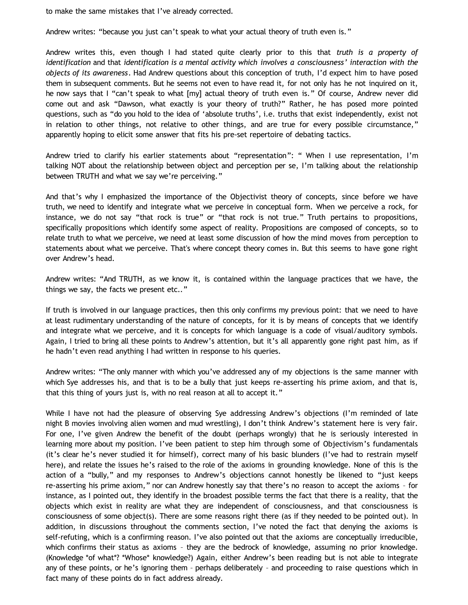to make the same mistakes that I've already corrected.

Andrew writes: "because you just can't speak to what your actual theory of truth even is."

Andrew writes this, even though I had stated quite clearly prior to this that *truth is a property of identification* and that *identification is a mental activity which involves a consciousness' interaction with the objects of its awareness*. Had Andrew questions about this conception of truth, I'd expect him to have posed them in subsequent comments. But he seems not even to have read it, for not only has he not inquired on it, he now says that I "can't speak to what [my] actual theory of truth even is." Of course, Andrew never did come out and ask "Dawson, what exactly is your theory of truth?" Rather, he has posed more pointed questions, such as "do you hold to the idea of 'absolute truths', i.e. truths that exist independently, exist not in relation to other things, not relative to other things, and are true for every possible circumstance," apparently hoping to elicit some answer that fits his pre-set repertoire of debating tactics.

Andrew tried to clarify his earlier statements about "representation": " When I use representation, I'm talking NOT about the relationship between object and perception per se, I'm talking about the relationship between TRUTH and what we say we're perceiving."

And that's why I emphasized the importance of the Objectivist theory of concepts, since before we have truth, we need to identify and integrate what we perceive in conceptual form. When we perceive a rock, for instance, we do not say "that rock is true" or "that rock is not true." Truth pertains to propositions, specifically propositions which identify some aspect of reality. Propositions are composed of concepts, so to relate truth to what we perceive, we need at least some discussion of how the mind moves from perception to statements about what we perceive. That's where concept theory comes in. But this seems to have gone right over Andrew's head.

Andrew writes: "And TRUTH, as we know it, is contained within the language practices that we have, the things we say, the facts we present etc.."

If truth is involved in our language practices, then this only confirms my previous point: that we need to have at least rudimentary understanding of the nature of concepts, for it is by means of concepts that we identify and integrate what we perceive, and it is concepts for which language is a code of visual/auditory symbols. Again, I tried to bring all these points to Andrew's attention, but it's all apparently gone right past him, as if he hadn't even read anything I had written in response to his queries.

Andrew writes: "The only manner with which you've addressed any of my objections is the same manner with which Sye addresses his, and that is to be a bully that just keeps re-asserting his prime axiom, and that is, that this thing of yours just is, with no real reason at all to accept it."

While I have not had the pleasure of observing Sye addressing Andrew's objections (I'm reminded of late night B movies involving alien women and mud wrestling), I don't think Andrew's statement here is very fair. For one, I've given Andrew the benefit of the doubt (perhaps wrongly) that he is seriously interested in learning more about my position. I've been patient to step him through some of Objectivism's fundamentals (it's clear he's never studied it for himself), correct many of his basic blunders (I've had to restrain myself here), and relate the issues he's raised to the role of the axioms in grounding knowledge. None of this is the action of a "bully," and my responses to Andrew's objections cannot honestly be likened to "just keeps re-asserting his prime axiom," nor can Andrew honestly say that there's no reason to accept the axioms – for instance, as I pointed out, they identify in the broadest possible terms the fact that there is a reality, that the objects which exist in reality are what they are independent of consciousness, and that consciousness is consciousness of some object(s). There are some reasons right there (as if they needed to be pointed out). In addition, in discussions throughout the comments section, I've noted the fact that denying the axioms is self-refuting, which is a confirming reason. I've also pointed out that the axioms are conceptually irreducible, which confirms their status as axioms – they are the bedrock of knowledge, assuming no prior knowledge. (Knowledge \*of what\*? \*Whose\* knowledge?) Again, either Andrew's been reading but is not able to integrate any of these points, or he's ignoring them – perhaps deliberately – and proceeding to raise questions which in fact many of these points do in fact address already.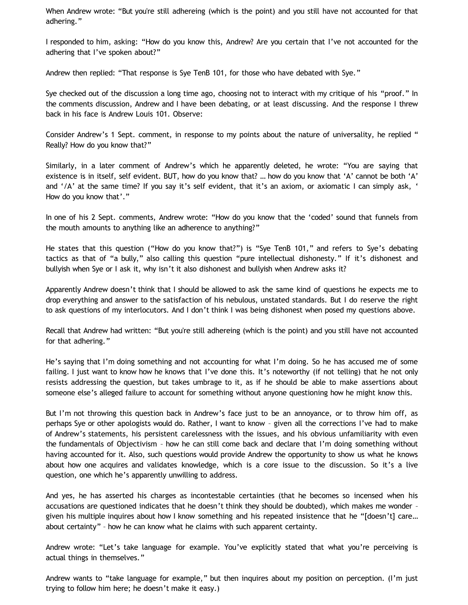When Andrew wrote: "But you're still adhereing (which is the point) and you still have not accounted for that adhering."

I responded to him, asking: "How do you know this, Andrew? Are you certain that I've not accounted for the adhering that I've spoken about?"

Andrew then replied: "That response is Sye TenB 101, for those who have debated with Sye."

Sye checked out of the discussion a long time ago, choosing not to interact with my critique of his "proof." In the comments discussion, Andrew and I have been debating, or at least discussing. And the response I threw back in his face is Andrew Louis 101. Observe:

Consider Andrew's 1 Sept. comment, in response to my points about the nature of universality, he replied " Really? How do you know that?"

Similarly, in a later comment of Andrew's which he apparently deleted, he wrote: "You are saying that existence is in itself, self evident. BUT, how do you know that? … how do you know that 'A' cannot be both 'A' and '/A' at the same time? If you say it's self evident, that it's an axiom, or axiomatic I can simply ask, ' How do you know that'."

In one of his 2 Sept. comments, Andrew wrote: "How do you know that the 'coded' sound that funnels from the mouth amounts to anything like an adherence to anything?"

He states that this question ("How do you know that?") is "Sye TenB 101," and refers to Sye's debating tactics as that of "a bully," also calling this question "pure intellectual dishonesty." If it's dishonest and bullyish when Sye or I ask it, why isn't it also dishonest and bullyish when Andrew asks it?

Apparently Andrew doesn't think that I should be allowed to ask the same kind of questions he expects me to drop everything and answer to the satisfaction of his nebulous, unstated standards. But I do reserve the right to ask questions of my interlocutors. And I don't think I was being dishonest when posed my questions above.

Recall that Andrew had written: "But you're still adhereing (which is the point) and you still have not accounted for that adhering."

He's saying that I'm doing something and not accounting for what I'm doing. So he has accused me of some failing. I just want to know how he knows that I've done this. It's noteworthy (if not telling) that he not only resists addressing the question, but takes umbrage to it, as if he should be able to make assertions about someone else's alleged failure to account for something without anyone questioning how he might know this.

But I'm not throwing this question back in Andrew's face just to be an annoyance, or to throw him off, as perhaps Sye or other apologists would do. Rather, I want to know – given all the corrections I've had to make of Andrew's statements, his persistent carelessness with the issues, and his obvious unfamiliarity with even the fundamentals of Objectivism – how he can still come back and declare that I'm doing something without having accounted for it. Also, such questions would provide Andrew the opportunity to show us what he knows about how one acquires and validates knowledge, which is a core issue to the discussion. So it's a live question, one which he's apparently unwilling to address.

And yes, he has asserted his charges as incontestable certainties (that he becomes so incensed when his accusations are questioned indicates that he doesn't think they should be doubted), which makes me wonder – given his multiple inquires about how I know something and his repeated insistence that he "[doesn't] care... about certainty" – how he can know what he claims with such apparent certainty.

Andrew wrote: "Let's take language for example. You've explicitly stated that what you're perceiving is actual things in themselves."

Andrew wants to "take language for example," but then inquires about my position on perception. (I'm just trying to follow him here; he doesn't make it easy.)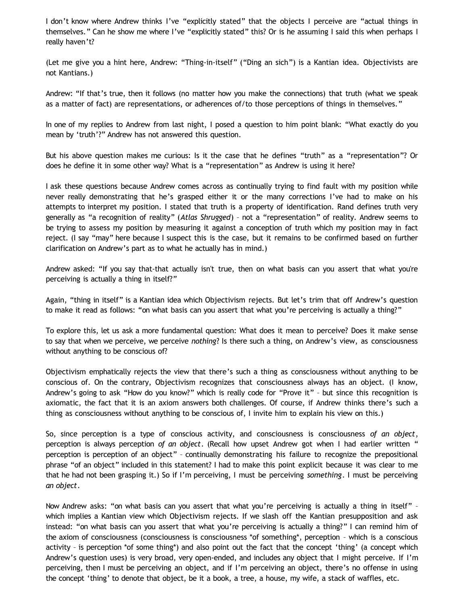I don't know where Andrew thinks I've "explicitly stated" that the objects I perceive are "actual things in themselves." Can he show me where I've "explicitly stated" this? Or is he assuming I said this when perhaps I really haven't?

(Let me give you a hint here, Andrew: "Thing-in-itself" ("Ding an sich") is a Kantian idea. Objectivists are not Kantians.)

Andrew: "If that's true, then it follows (no matter how you make the connections) that truth (what we speak as a matter of fact) are representations, or adherences of/to those perceptions of things in themselves."

In one of my replies to Andrew from last night, I posed a question to him point blank: "What exactly do you mean by 'truth'?" Andrew has not answered this question.

But his above question makes me curious: Is it the case that he defines "truth" as a "representation"? Or does he define it in some other way? What is a "representation" as Andrew is using it here?

I ask these questions because Andrew comes across as continually trying to find fault with my position while never really demonstrating that he's grasped either it or the many corrections I've had to make on his attempts to interpret my position. I stated that truth is a property of identification. Rand defines truth very generally as "a recognition of reality" (*Atlas Shrugged*) – not a "representation" of reality. Andrew seems to be trying to assess my position by measuring it against a conception of truth which my position may in fact reject. (I say "may" here because I suspect this is the case, but it remains to be confirmed based on further clarification on Andrew's part as to what he actually has in mind.)

Andrew asked: "If you say that-that actually isn't true, then on what basis can you assert that what you're perceiving is actually a thing in itself?"

Again, "thing in itself" is a Kantian idea which Objectivism rejects. But let's trim that off Andrew's question to make it read as follows: "on what basis can you assert that what you're perceiving is actually a thing?"

To explore this, let us ask a more fundamental question: What does it mean to perceive? Does it make sense to say that when we perceive, we perceive *nothing*? Is there such a thing, on Andrew's view, as consciousness without anything to be conscious of?

Objectivism emphatically rejects the view that there's such a thing as consciousness without anything to be conscious of. On the contrary, Objectivism recognizes that consciousness always has an object. (I know, Andrew's going to ask "How do you know?" which is really code for "Prove it" – but since this recognition is axiomatic, the fact that it is an axiom answers both challenges. Of course, if Andrew thinks there's such a thing as consciousness without anything to be conscious of, I invite him to explain his view on this.)

So, since perception is a type of conscious activity, and consciousness is consciousness *of an object*, perception is always perception *of an object*. (Recall how upset Andrew got when I had earlier written " perception is perception of an object" – continually demonstrating his failure to recognize the prepositional phrase "of an object" included in this statement? I had to make this point explicit because it was clear to me that he had not been grasping it.) So if I'm perceiving, I must be perceiving *something*. I must be perceiving *an object*.

Now Andrew asks: "on what basis can you assert that what you're perceiving is actually a thing in itself" which implies a Kantian view which Objectivism rejects. If we slash off the Kantian presupposition and ask instead: "on what basis can you assert that what you're perceiving is actually a thing?" I can remind him of the axiom of consciousness (consciousness is consciousness \*of something\*, perception - which is a conscious activity – is perception \*of some thing\*) and also point out the fact that the concept 'thing' (a concept which Andrew's question uses) is very broad, very open-ended, and includes any object that I might perceive. If I'm perceiving, then I must be perceiving an object, and if I'm perceiving an object, there's no offense in using the concept 'thing' to denote that object, be it a book, a tree, a house, my wife, a stack of waffles, etc.